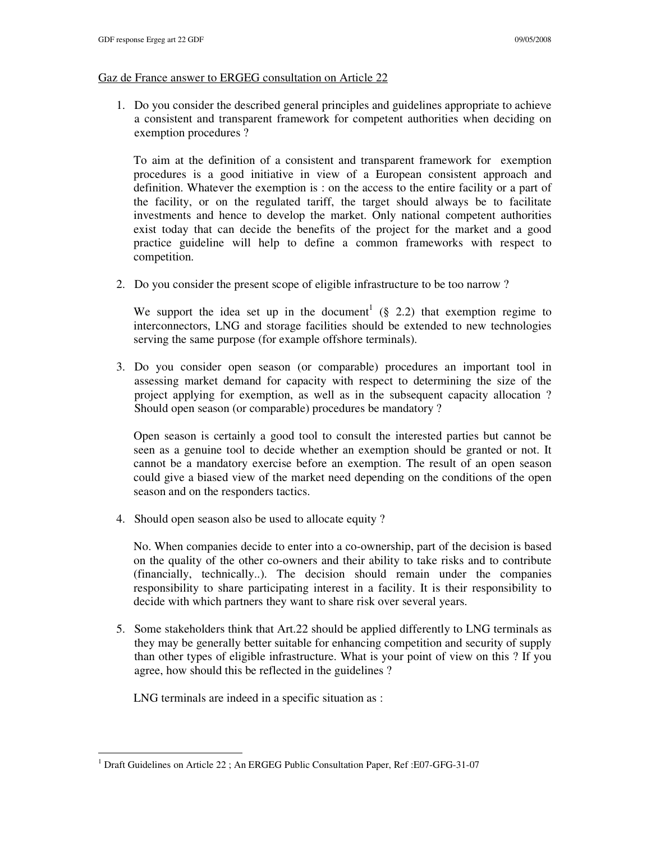## Gaz de France answer to ERGEG consultation on Article 22

1. Do you consider the described general principles and guidelines appropriate to achieve a consistent and transparent framework for competent authorities when deciding on exemption procedures ?

To aim at the definition of a consistent and transparent framework for exemption procedures is a good initiative in view of a European consistent approach and definition. Whatever the exemption is : on the access to the entire facility or a part of the facility, or on the regulated tariff, the target should always be to facilitate investments and hence to develop the market. Only national competent authorities exist today that can decide the benefits of the project for the market and a good practice guideline will help to define a common frameworks with respect to competition.

2. Do you consider the present scope of eligible infrastructure to be too narrow ?

We support the idea set up in the document<sup>1</sup> (§ 2.2) that exemption regime to interconnectors, LNG and storage facilities should be extended to new technologies serving the same purpose (for example offshore terminals).

3. Do you consider open season (or comparable) procedures an important tool in assessing market demand for capacity with respect to determining the size of the project applying for exemption, as well as in the subsequent capacity allocation ? Should open season (or comparable) procedures be mandatory ?

Open season is certainly a good tool to consult the interested parties but cannot be seen as a genuine tool to decide whether an exemption should be granted or not. It cannot be a mandatory exercise before an exemption. The result of an open season could give a biased view of the market need depending on the conditions of the open season and on the responders tactics.

4. Should open season also be used to allocate equity ?

No. When companies decide to enter into a co-ownership, part of the decision is based on the quality of the other co-owners and their ability to take risks and to contribute (financially, technically..). The decision should remain under the companies responsibility to share participating interest in a facility. It is their responsibility to decide with which partners they want to share risk over several years.

5. Some stakeholders think that Art.22 should be applied differently to LNG terminals as they may be generally better suitable for enhancing competition and security of supply than other types of eligible infrastructure. What is your point of view on this ? If you agree, how should this be reflected in the guidelines ?

LNG terminals are indeed in a specific situation as :

 1 Draft Guidelines on Article 22 ; An ERGEG Public Consultation Paper, Ref :E07-GFG-31-07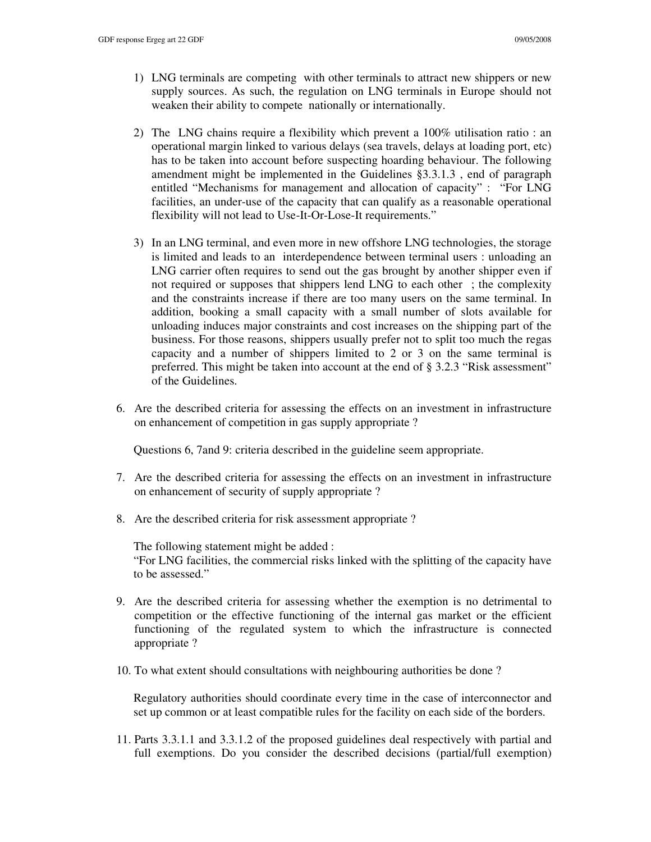- 1) LNG terminals are competing with other terminals to attract new shippers or new supply sources. As such, the regulation on LNG terminals in Europe should not weaken their ability to compete nationally or internationally.
- 2) The LNG chains require a flexibility which prevent a 100% utilisation ratio : an operational margin linked to various delays (sea travels, delays at loading port, etc) has to be taken into account before suspecting hoarding behaviour. The following amendment might be implemented in the Guidelines §3.3.1.3 , end of paragraph entitled "Mechanisms for management and allocation of capacity" : "For LNG facilities, an under-use of the capacity that can qualify as a reasonable operational flexibility will not lead to Use-It-Or-Lose-It requirements."
- 3) In an LNG terminal, and even more in new offshore LNG technologies, the storage is limited and leads to an interdependence between terminal users : unloading an LNG carrier often requires to send out the gas brought by another shipper even if not required or supposes that shippers lend LNG to each other ; the complexity and the constraints increase if there are too many users on the same terminal. In addition, booking a small capacity with a small number of slots available for unloading induces major constraints and cost increases on the shipping part of the business. For those reasons, shippers usually prefer not to split too much the regas capacity and a number of shippers limited to 2 or 3 on the same terminal is preferred. This might be taken into account at the end of § 3.2.3 "Risk assessment" of the Guidelines.
- 6. Are the described criteria for assessing the effects on an investment in infrastructure on enhancement of competition in gas supply appropriate ?

Questions 6, 7and 9: criteria described in the guideline seem appropriate.

- 7. Are the described criteria for assessing the effects on an investment in infrastructure on enhancement of security of supply appropriate ?
- 8. Are the described criteria for risk assessment appropriate ?

The following statement might be added : "For LNG facilities, the commercial risks linked with the splitting of the capacity have to be assessed."

- 9. Are the described criteria for assessing whether the exemption is no detrimental to competition or the effective functioning of the internal gas market or the efficient functioning of the regulated system to which the infrastructure is connected appropriate ?
- 10. To what extent should consultations with neighbouring authorities be done ?

Regulatory authorities should coordinate every time in the case of interconnector and set up common or at least compatible rules for the facility on each side of the borders.

11. Parts 3.3.1.1 and 3.3.1.2 of the proposed guidelines deal respectively with partial and full exemptions. Do you consider the described decisions (partial/full exemption)